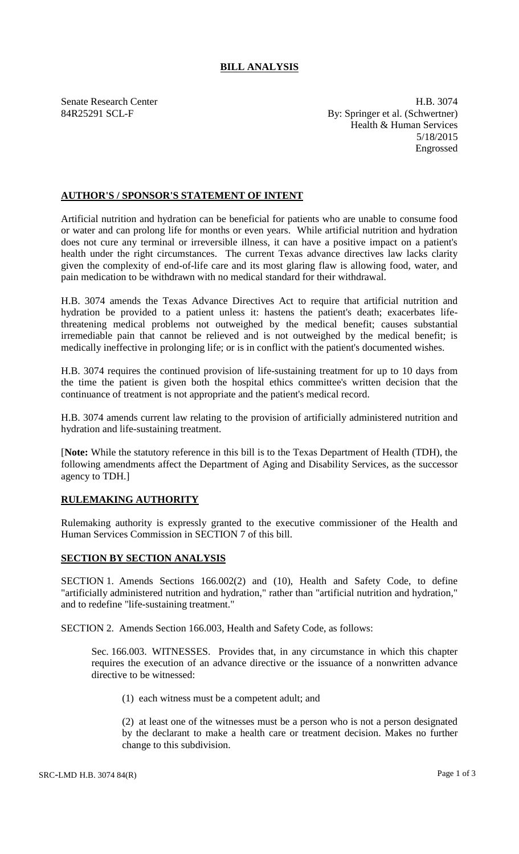## **BILL ANALYSIS**

Senate Research Center **H.B. 3074** 84R25291 SCL-F By: Springer et al. (Schwertner) Health & Human Services 5/18/2015 Engrossed

## **AUTHOR'S / SPONSOR'S STATEMENT OF INTENT**

Artificial nutrition and hydration can be beneficial for patients who are unable to consume food or water and can prolong life for months or even years. While artificial nutrition and hydration does not cure any terminal or irreversible illness, it can have a positive impact on a patient's health under the right circumstances. The current Texas advance directives law lacks clarity given the complexity of end-of-life care and its most glaring flaw is allowing food, water, and pain medication to be withdrawn with no medical standard for their withdrawal.

H.B. 3074 amends the Texas Advance Directives Act to require that artificial nutrition and hydration be provided to a patient unless it: hastens the patient's death; exacerbates lifethreatening medical problems not outweighed by the medical benefit; causes substantial irremediable pain that cannot be relieved and is not outweighed by the medical benefit; is medically ineffective in prolonging life; or is in conflict with the patient's documented wishes.

H.B. 3074 requires the continued provision of life-sustaining treatment for up to 10 days from the time the patient is given both the hospital ethics committee's written decision that the continuance of treatment is not appropriate and the patient's medical record.

H.B. 3074 amends current law relating to the provision of artificially administered nutrition and hydration and life-sustaining treatment.

[**Note:** While the statutory reference in this bill is to the Texas Department of Health (TDH), the following amendments affect the Department of Aging and Disability Services, as the successor agency to TDH.]

## **RULEMAKING AUTHORITY**

Rulemaking authority is expressly granted to the executive commissioner of the Health and Human Services Commission in SECTION 7 of this bill.

## **SECTION BY SECTION ANALYSIS**

SECTION 1. Amends Sections 166.002(2) and (10), Health and Safety Code, to define "artificially administered nutrition and hydration," rather than "artificial nutrition and hydration," and to redefine "life-sustaining treatment."

SECTION 2. Amends Section 166.003, Health and Safety Code, as follows:

Sec. 166.003. WITNESSES. Provides that, in any circumstance in which this chapter requires the execution of an advance directive or the issuance of a nonwritten advance directive to be witnessed:

(1) each witness must be a competent adult; and

(2) at least one of the witnesses must be a person who is not a person designated by the declarant to make a health care or treatment decision. Makes no further change to this subdivision.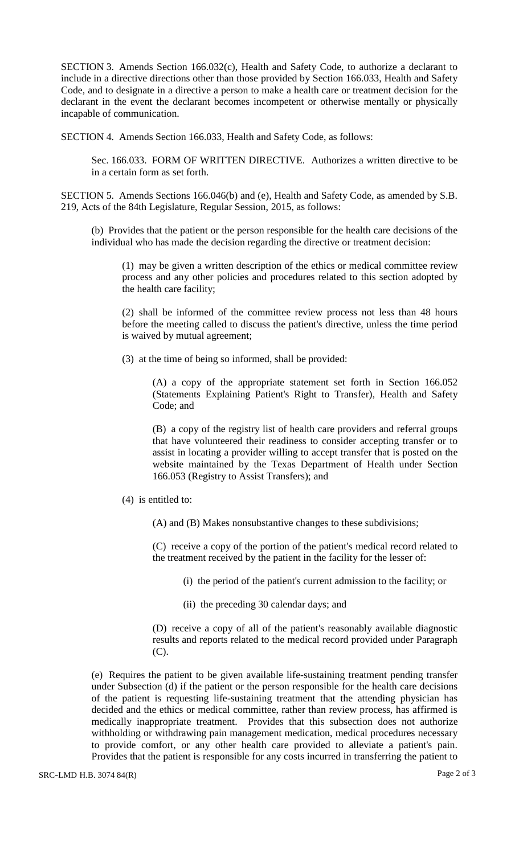SECTION 3. Amends Section 166.032(c), Health and Safety Code, to authorize a declarant to include in a directive directions other than those provided by Section 166.033, Health and Safety Code, and to designate in a directive a person to make a health care or treatment decision for the declarant in the event the declarant becomes incompetent or otherwise mentally or physically incapable of communication.

SECTION 4. Amends Section 166.033, Health and Safety Code, as follows:

Sec. 166.033. FORM OF WRITTEN DIRECTIVE. Authorizes a written directive to be in a certain form as set forth.

SECTION 5. Amends Sections 166.046(b) and (e), Health and Safety Code, as amended by S.B. 219, Acts of the 84th Legislature, Regular Session, 2015, as follows:

(b) Provides that the patient or the person responsible for the health care decisions of the individual who has made the decision regarding the directive or treatment decision:

(1) may be given a written description of the ethics or medical committee review process and any other policies and procedures related to this section adopted by the health care facility;

(2) shall be informed of the committee review process not less than 48 hours before the meeting called to discuss the patient's directive, unless the time period is waived by mutual agreement;

(3) at the time of being so informed, shall be provided:

(A) a copy of the appropriate statement set forth in Section 166.052 (Statements Explaining Patient's Right to Transfer), Health and Safety Code; and

(B) a copy of the registry list of health care providers and referral groups that have volunteered their readiness to consider accepting transfer or to assist in locating a provider willing to accept transfer that is posted on the website maintained by the Texas Department of Health under Section 166.053 (Registry to Assist Transfers); and

(4) is entitled to:

(A) and (B) Makes nonsubstantive changes to these subdivisions;

(C) receive a copy of the portion of the patient's medical record related to the treatment received by the patient in the facility for the lesser of:

(i) the period of the patient's current admission to the facility; or

(ii) the preceding 30 calendar days; and

(D) receive a copy of all of the patient's reasonably available diagnostic results and reports related to the medical record provided under Paragraph (C).

(e) Requires the patient to be given available life-sustaining treatment pending transfer under Subsection (d) if the patient or the person responsible for the health care decisions of the patient is requesting life-sustaining treatment that the attending physician has decided and the ethics or medical committee, rather than review process, has affirmed is medically inappropriate treatment. Provides that this subsection does not authorize withholding or withdrawing pain management medication, medical procedures necessary to provide comfort, or any other health care provided to alleviate a patient's pain. Provides that the patient is responsible for any costs incurred in transferring the patient to